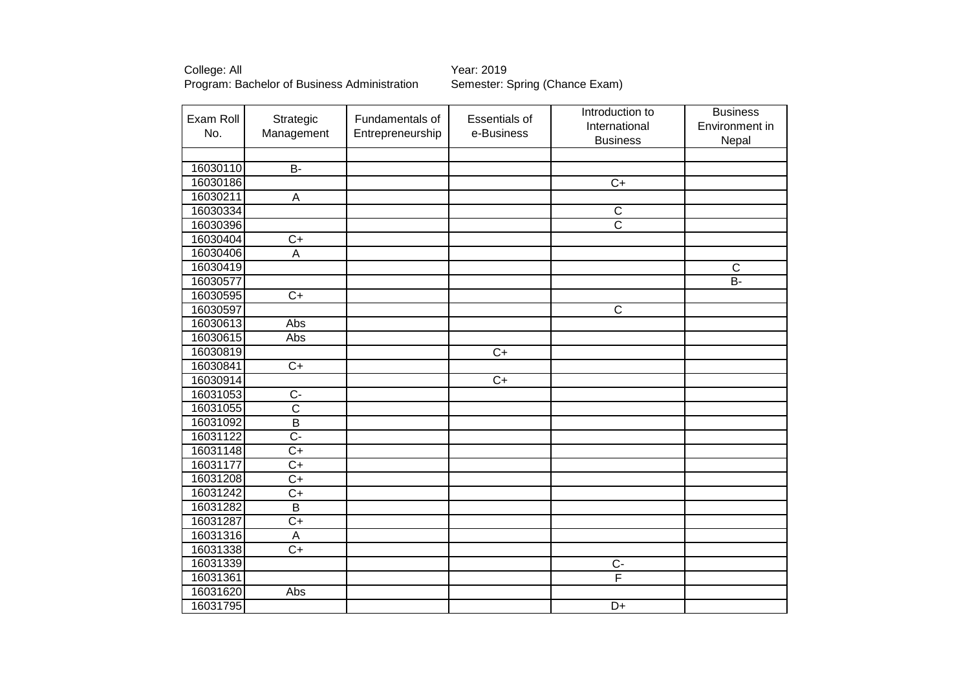# College: All Year: 2019 Program: Bachelor of Business Administration Semester: Spring (Chance Exam)

| Exam Roll | Strategic               | Fundamentals of  | Essentials of  | Introduction to | <b>Business</b> |
|-----------|-------------------------|------------------|----------------|-----------------|-----------------|
| No.       | Management              | Entrepreneurship | e-Business     | International   | Environment in  |
|           |                         |                  |                | <b>Business</b> | Nepal           |
|           |                         |                  |                |                 |                 |
| 16030110  | $\overline{B}$          |                  |                |                 |                 |
| 16030186  |                         |                  |                | $\overline{C}$  |                 |
| 16030211  | $\overline{A}$          |                  |                |                 |                 |
| 16030334  |                         |                  |                | $\mathsf C$     |                 |
| 16030396  |                         |                  |                | $\overline{C}$  |                 |
| 16030404  | $\overline{C+}$         |                  |                |                 |                 |
| 16030406  | $\overline{A}$          |                  |                |                 |                 |
| 16030419  |                         |                  |                |                 | C               |
| 16030577  |                         |                  |                |                 | <b>B-</b>       |
| 16030595  | $\overline{C}$          |                  |                |                 |                 |
| 16030597  |                         |                  |                | $\mathsf C$     |                 |
| 16030613  | Abs                     |                  |                |                 |                 |
| 16030615  | Abs                     |                  |                |                 |                 |
| 16030819  |                         |                  | $C+$           |                 |                 |
| 16030841  | $C+$                    |                  |                |                 |                 |
| 16030914  |                         |                  | $\overline{C}$ |                 |                 |
| 16031053  | $\overline{C}$          |                  |                |                 |                 |
| 16031055  | $\overline{\mathsf{c}}$ |                  |                |                 |                 |
| 16031092  | $\overline{B}$          |                  |                |                 |                 |
| 16031122  | $\overline{C}$          |                  |                |                 |                 |
| 16031148  | $\overline{C}$          |                  |                |                 |                 |
| 16031177  | $\overline{C+}$         |                  |                |                 |                 |
| 16031208  | $\overline{C}$          |                  |                |                 |                 |
| 16031242  | $C+$                    |                  |                |                 |                 |
| 16031282  | $\overline{B}$          |                  |                |                 |                 |
| 16031287  | $\overline{C+}$         |                  |                |                 |                 |
| 16031316  | A                       |                  |                |                 |                 |
| 16031338  | $\overline{C+}$         |                  |                |                 |                 |
| 16031339  |                         |                  |                | $C -$           |                 |
| 16031361  |                         |                  |                | F               |                 |
| 16031620  | Abs                     |                  |                |                 |                 |
| 16031795  |                         |                  |                | $D+$            |                 |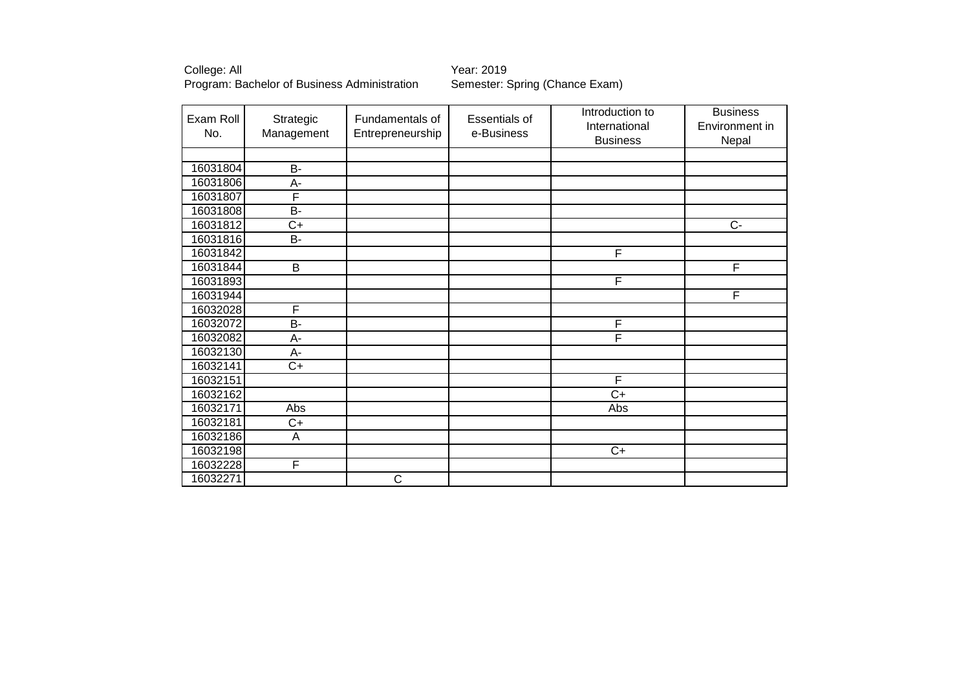# College: All Year: 2019 Program: Bachelor of Business Administration Semester: Spring (Chance Exam)

| Exam Roll<br>No. | Strategic<br>Management | Fundamentals of<br>Entrepreneurship | <b>Essentials of</b><br>e-Business | Introduction to<br>International<br><b>Business</b> | <b>Business</b><br>Environment in<br>Nepal |
|------------------|-------------------------|-------------------------------------|------------------------------------|-----------------------------------------------------|--------------------------------------------|
|                  |                         |                                     |                                    |                                                     |                                            |
| 16031804         | <b>B-</b>               |                                     |                                    |                                                     |                                            |
| 16031806         | A-                      |                                     |                                    |                                                     |                                            |
| 16031807         | F                       |                                     |                                    |                                                     |                                            |
| 16031808         | $\overline{B}$          |                                     |                                    |                                                     |                                            |
| 16031812         | $C+$                    |                                     |                                    |                                                     | $C -$                                      |
| 16031816         | <b>B-</b>               |                                     |                                    |                                                     |                                            |
| 16031842         |                         |                                     |                                    | F                                                   |                                            |
| 16031844         | $\overline{B}$          |                                     |                                    |                                                     | F                                          |
| 16031893         |                         |                                     |                                    | F                                                   |                                            |
| 16031944         |                         |                                     |                                    |                                                     | F                                          |
| 16032028         | F                       |                                     |                                    |                                                     |                                            |
| 16032072         | B-                      |                                     |                                    | F                                                   |                                            |
| 16032082         | A-                      |                                     |                                    | F                                                   |                                            |
| 16032130         | A-                      |                                     |                                    |                                                     |                                            |
| 16032141         | $C+$                    |                                     |                                    |                                                     |                                            |
| 16032151         |                         |                                     |                                    | F                                                   |                                            |
| 16032162         |                         |                                     |                                    | $C+$                                                |                                            |
| 16032171         | Abs                     |                                     |                                    | Abs                                                 |                                            |
| 16032181         | $C+$                    |                                     |                                    |                                                     |                                            |
| 16032186         | A                       |                                     |                                    |                                                     |                                            |
| 16032198         |                         |                                     |                                    | $C+$                                                |                                            |
| 16032228         | F                       |                                     |                                    |                                                     |                                            |
| 16032271         |                         | $\mathsf{C}$                        |                                    |                                                     |                                            |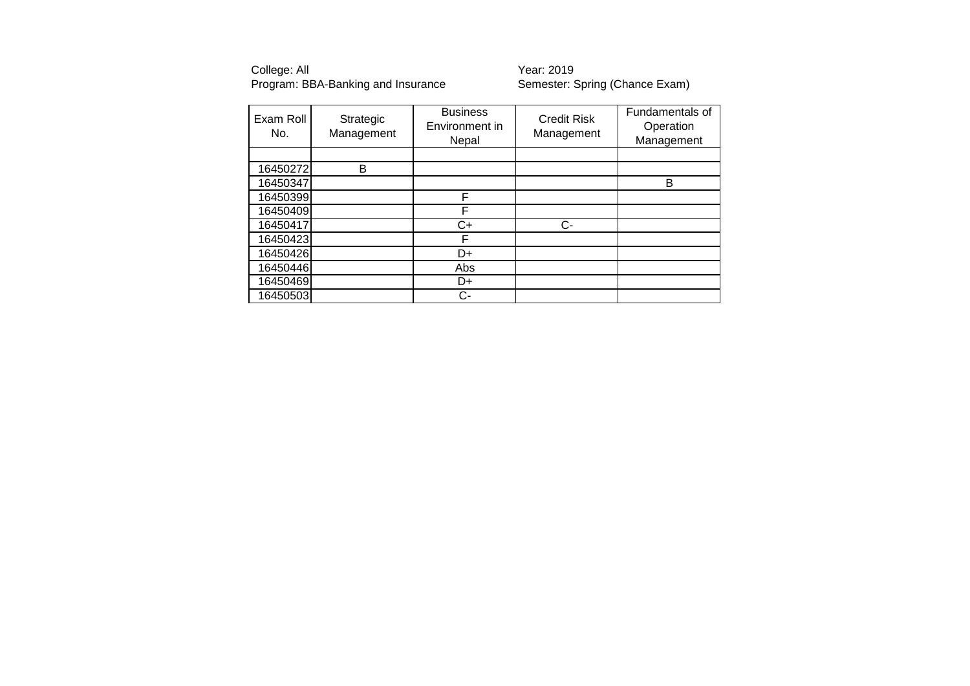College: All Year: 2019 Program: BBA-Banking and Insurance Semester: Spring (Chance Exam)

| Exam Roll<br>No. | Strategic<br>Management | <b>Business</b><br>Environment in<br>Nepal | <b>Credit Risk</b><br>Management | Fundamentals of<br>Operation<br>Management |
|------------------|-------------------------|--------------------------------------------|----------------------------------|--------------------------------------------|
|                  |                         |                                            |                                  |                                            |
| 16450272         | B                       |                                            |                                  |                                            |
| 16450347         |                         |                                            |                                  | B                                          |
| 16450399         |                         | F                                          |                                  |                                            |
| 16450409         |                         | F                                          |                                  |                                            |
| 16450417         |                         | C+                                         | $C-$                             |                                            |
| 16450423         |                         | F                                          |                                  |                                            |
| 16450426         |                         | D+                                         |                                  |                                            |
| 16450446         |                         | Abs                                        |                                  |                                            |
| 16450469         |                         | D+                                         |                                  |                                            |
| 16450503         |                         | C-                                         |                                  |                                            |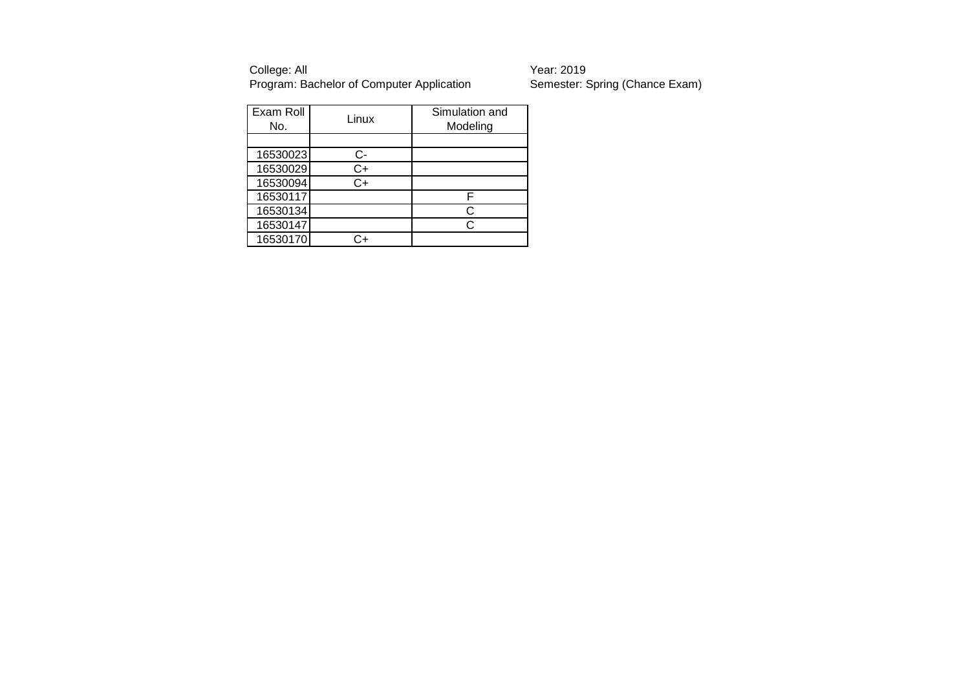College: All Year: 2019 Program: Bachelor of Computer Application Semester: Spring (Chance Exam)

| Exam Roll<br>No. | Linux | Simulation and<br>Modeling |
|------------------|-------|----------------------------|
|                  |       |                            |
| 16530023         | C-    |                            |
| 16530029         | C+    |                            |
| 16530094         | C+    |                            |
| 16530117         |       |                            |
| 16530134         |       |                            |
| 16530147         |       |                            |
| 16530170         | C+    |                            |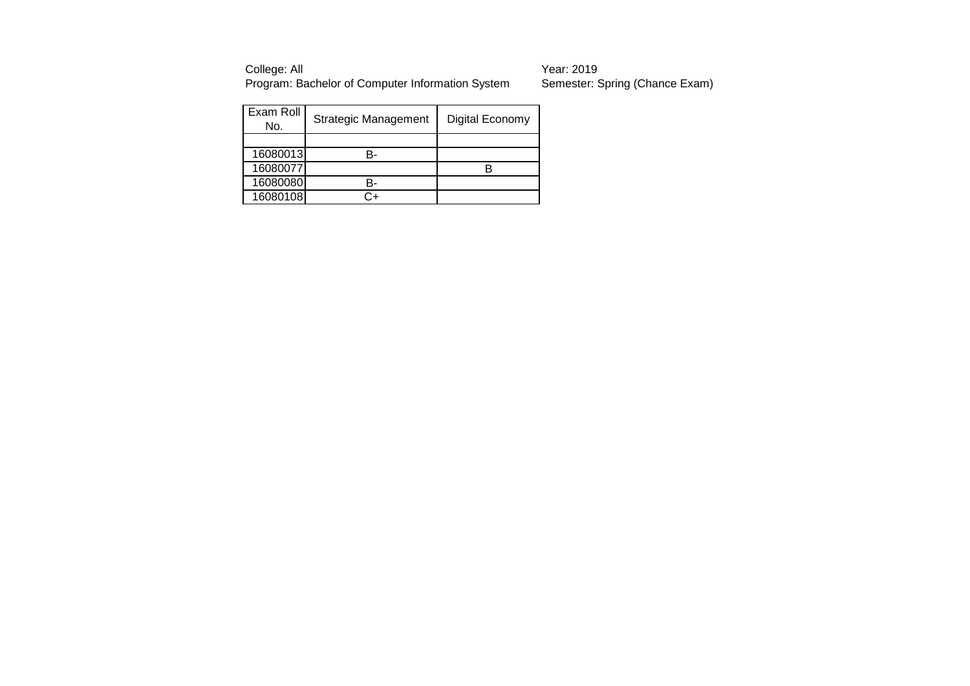Program: Bachelor of Computer Information System Semester: Spring (Chance Exam)

College: All Year: 2019

| Exam Roll<br>No. | Strategic Management | Digital Economy |
|------------------|----------------------|-----------------|
|                  |                      |                 |
| 16080013         |                      |                 |
| 16080077         |                      |                 |
| 16080080         |                      |                 |
| 16080108         |                      |                 |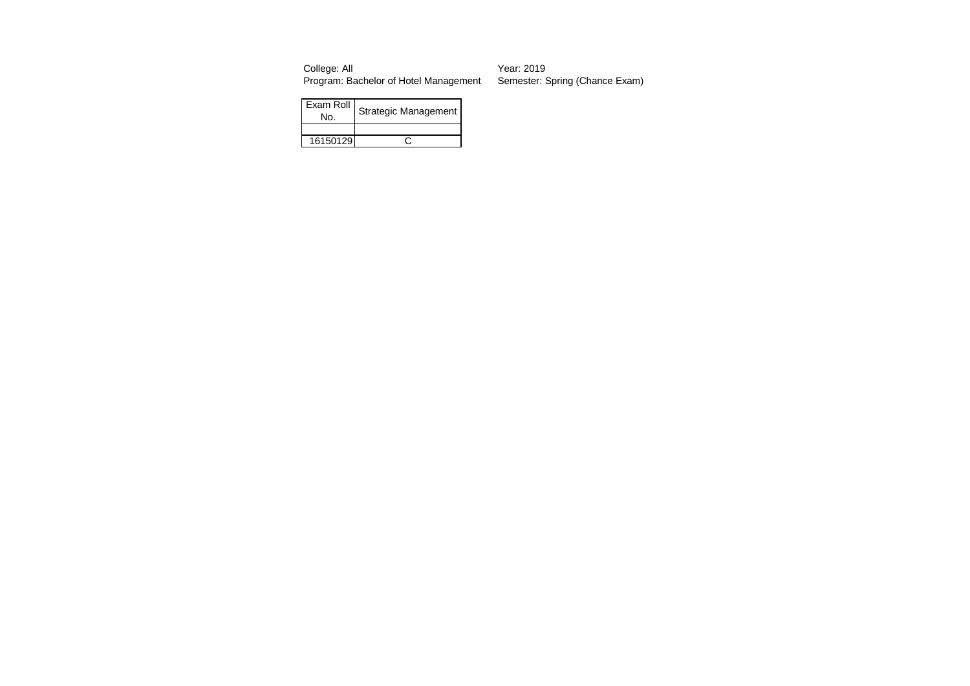College: All Year: 2019

Program: Bachelor of Hotel Management Semester: Spring (Chance Exam)

| Exam Roll<br>N٥ | Strategic Management |
|-----------------|----------------------|
|                 |                      |
| 16150129        |                      |